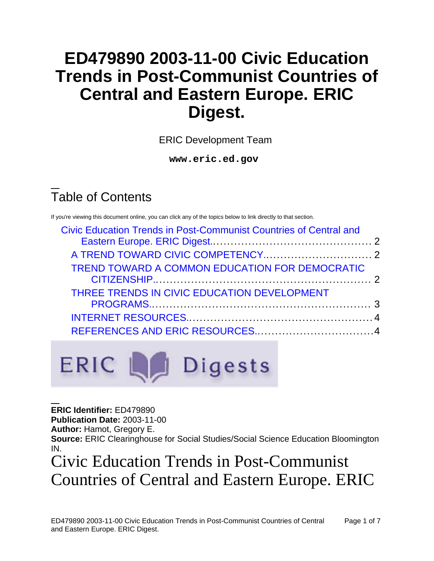# **ED479890 2003-11-00 Civic Education Trends in Post-Communist Countries of Central and Eastern Europe. ERIC Digest.**

ERIC Development Team

**www.eric.ed.gov**

### Table of Contents

If you're viewing this document online, you can click any of the topics below to link directly to that section.

| <b>Civic Education Trends in Post-Communist Countries of Central and</b> |  |
|--------------------------------------------------------------------------|--|
|                                                                          |  |
|                                                                          |  |
| TREND TOWARD A COMMON EDUCATION FOR DEMOCRATIC                           |  |
| THREE TRENDS IN CIVIC EDUCATION DEVELOPMENT                              |  |
|                                                                          |  |
|                                                                          |  |



**ERIC Identifier:** ED479890

**Publication Date:** 2003-11-00

**Author:** Hamot, Gregory E.

**Source:** ERIC Clearinghouse for Social Studies/Social Science Education Bloomington IN.

# Civic Education Trends in Post-Communist Countries of Central and Eastern Europe. ERIC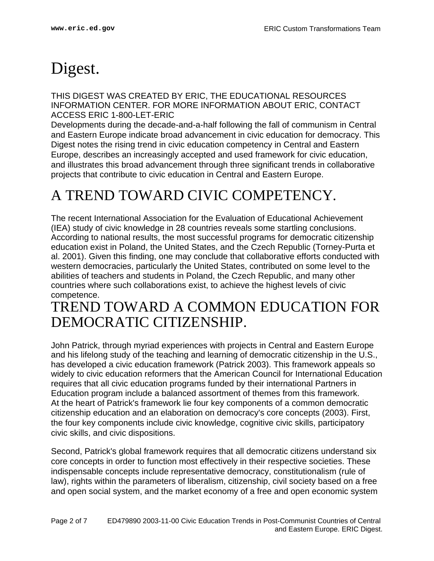# <span id="page-1-0"></span>Digest.

THIS DIGEST WAS CREATED BY ERIC, THE EDUCATIONAL RESOURCES INFORMATION CENTER. FOR MORE INFORMATION ABOUT ERIC, CONTACT ACCESS ERIC 1-800-LET-ERIC

Developments during the decade-and-a-half following the fall of communism in Central and Eastern Europe indicate broad advancement in civic education for democracy. This Digest notes the rising trend in civic education competency in Central and Eastern Europe, describes an increasingly accepted and used framework for civic education, and illustrates this broad advancement through three significant trends in collaborative projects that contribute to civic education in Central and Eastern Europe.

#### <span id="page-1-1"></span>A TREND TOWARD CIVIC COMPETENCY.

The recent International Association for the Evaluation of Educational Achievement (IEA) study of civic knowledge in 28 countries reveals some startling conclusions. According to national results, the most successful programs for democratic citizenship education exist in Poland, the United States, and the Czech Republic (Torney-Purta et al. 2001). Given this finding, one may conclude that collaborative efforts conducted with western democracies, particularly the United States, contributed on some level to the abilities of teachers and students in Poland, the Czech Republic, and many other countries where such collaborations exist, to achieve the highest levels of civic competence.

#### <span id="page-1-2"></span>TREND TOWARD A COMMON EDUCATION FOR DEMOCRATIC CITIZENSHIP.

John Patrick, through myriad experiences with projects in Central and Eastern Europe and his lifelong study of the teaching and learning of democratic citizenship in the U.S., has developed a civic education framework (Patrick 2003). This framework appeals so widely to civic education reformers that the American Council for International Education requires that all civic education programs funded by their international Partners in Education program include a balanced assortment of themes from this framework. At the heart of Patrick's framework lie four key components of a common democratic citizenship education and an elaboration on democracy's core concepts (2003). First, the four key components include civic knowledge, cognitive civic skills, participatory civic skills, and civic dispositions.

Second, Patrick's global framework requires that all democratic citizens understand six core concepts in order to function most effectively in their respective societies. These indispensable concepts include representative democracy, constitutionalism (rule of law), rights within the parameters of liberalism, citizenship, civil society based on a free and open social system, and the market economy of a free and open economic system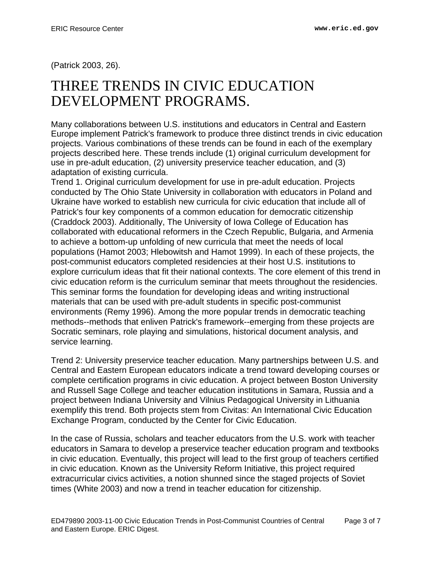(Patrick 2003, 26).

#### <span id="page-2-0"></span>THREE TRENDS IN CIVIC EDUCATION DEVELOPMENT PROGRAMS.

Many collaborations between U.S. institutions and educators in Central and Eastern Europe implement Patrick's framework to produce three distinct trends in civic education projects. Various combinations of these trends can be found in each of the exemplary projects described here. These trends include (1) original curriculum development for use in pre-adult education, (2) university preservice teacher education, and (3) adaptation of existing curricula.

Trend 1. Original curriculum development for use in pre-adult education. Projects conducted by The Ohio State University in collaboration with educators in Poland and Ukraine have worked to establish new curricula for civic education that include all of Patrick's four key components of a common education for democratic citizenship (Craddock 2003). Additionally, The University of Iowa College of Education has collaborated with educational reformers in the Czech Republic, Bulgaria, and Armenia to achieve a bottom-up unfolding of new curricula that meet the needs of local populations (Hamot 2003; Hlebowitsh and Hamot 1999). In each of these projects, the post-communist educators completed residencies at their host U.S. institutions to explore curriculum ideas that fit their national contexts. The core element of this trend in civic education reform is the curriculum seminar that meets throughout the residencies. This seminar forms the foundation for developing ideas and writing instructional materials that can be used with pre-adult students in specific post-communist environments (Remy 1996). Among the more popular trends in democratic teaching methods--methods that enliven Patrick's framework--emerging from these projects are Socratic seminars, role playing and simulations, historical document analysis, and service learning.

Trend 2: University preservice teacher education. Many partnerships between U.S. and Central and Eastern European educators indicate a trend toward developing courses or complete certification programs in civic education. A project between Boston University and Russell Sage College and teacher education institutions in Samara, Russia and a project between Indiana University and Vilnius Pedagogical University in Lithuania exemplify this trend. Both projects stem from Civitas: An International Civic Education Exchange Program, conducted by the Center for Civic Education.

In the case of Russia, scholars and teacher educators from the U.S. work with teacher educators in Samara to develop a preservice teacher education program and textbooks in civic education. Eventually, this project will lead to the first group of teachers certified in civic education. Known as the University Reform Initiative, this project required extracurricular civics activities, a notion shunned since the staged projects of Soviet times (White 2003) and now a trend in teacher education for citizenship.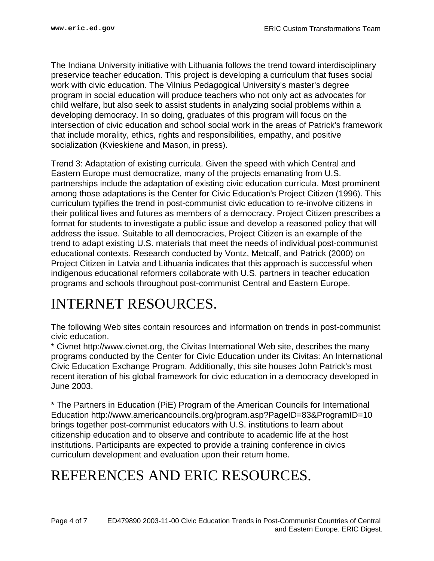The Indiana University initiative with Lithuania follows the trend toward interdisciplinary preservice teacher education. This project is developing a curriculum that fuses social work with civic education. The Vilnius Pedagogical University's master's degree program in social education will produce teachers who not only act as advocates for child welfare, but also seek to assist students in analyzing social problems within a developing democracy. In so doing, graduates of this program will focus on the intersection of civic education and school social work in the areas of Patrick's framework that include morality, ethics, rights and responsibilities, empathy, and positive socialization (Kvieskiene and Mason, in press).

Trend 3: Adaptation of existing curricula. Given the speed with which Central and Eastern Europe must democratize, many of the projects emanating from U.S. partnerships include the adaptation of existing civic education curricula. Most prominent among those adaptations is the Center for Civic Education's Project Citizen (1996). This curriculum typifies the trend in post-communist civic education to re-involve citizens in their political lives and futures as members of a democracy. Project Citizen prescribes a format for students to investigate a public issue and develop a reasoned policy that will address the issue. Suitable to all democracies, Project Citizen is an example of the trend to adapt existing U.S. materials that meet the needs of individual post-communist educational contexts. Research conducted by Vontz, Metcalf, and Patrick (2000) on Project Citizen in Latvia and Lithuania indicates that this approach is successful when indigenous educational reformers collaborate with U.S. partners in teacher education programs and schools throughout post-communist Central and Eastern Europe.

### <span id="page-3-0"></span>INTERNET RESOURCES.

The following Web sites contain resources and information on trends in post-communist civic education.

\* Civnet http://www.civnet.org, the Civitas International Web site, describes the many programs conducted by the Center for Civic Education under its Civitas: An International Civic Education Exchange Program. Additionally, this site houses John Patrick's most recent iteration of his global framework for civic education in a democracy developed in June 2003.

\* The Partners in Education (PiE) Program of the American Councils for International Education http://www.americancouncils.org/program.asp?PageID=83&ProgramID=10 brings together post-communist educators with U.S. institutions to learn about citizenship education and to observe and contribute to academic life at the host institutions. Participants are expected to provide a training conference in civics curriculum development and evaluation upon their return home.

### <span id="page-3-1"></span>REFERENCES AND ERIC RESOURCES.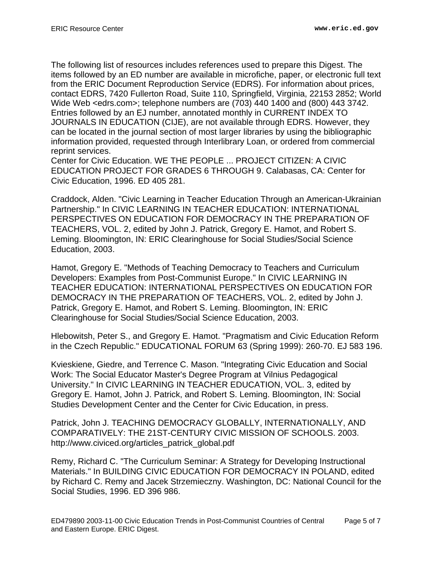The following list of resources includes references used to prepare this Digest. The items followed by an ED number are available in microfiche, paper, or electronic full text from the ERIC Document Reproduction Service (EDRS). For information about prices, contact EDRS, 7420 Fullerton Road, Suite 110, Springfield, Virginia, 22153 2852; World Wide Web <edrs.com>; telephone numbers are (703) 440 1400 and (800) 443 3742. Entries followed by an EJ number, annotated monthly in CURRENT INDEX TO JOURNALS IN EDUCATION (CIJE), are not available through EDRS. However, they can be located in the journal section of most larger libraries by using the bibliographic information provided, requested through Interlibrary Loan, or ordered from commercial reprint services.

Center for Civic Education. WE THE PEOPLE ... PROJECT CITIZEN: A CIVIC EDUCATION PROJECT FOR GRADES 6 THROUGH 9. Calabasas, CA: Center for Civic Education, 1996. ED 405 281.

Craddock, Alden. "Civic Learning in Teacher Education Through an American-Ukrainian Partnership." In CIVIC LEARNING IN TEACHER EDUCATION: INTERNATIONAL PERSPECTIVES ON EDUCATION FOR DEMOCRACY IN THE PREPARATION OF TEACHERS, VOL. 2, edited by John J. Patrick, Gregory E. Hamot, and Robert S. Leming. Bloomington, IN: ERIC Clearinghouse for Social Studies/Social Science Education, 2003.

Hamot, Gregory E. "Methods of Teaching Democracy to Teachers and Curriculum Developers: Examples from Post-Communist Europe." In CIVIC LEARNING IN TEACHER EDUCATION: INTERNATIONAL PERSPECTIVES ON EDUCATION FOR DEMOCRACY IN THE PREPARATION OF TEACHERS, VOL. 2, edited by John J. Patrick, Gregory E. Hamot, and Robert S. Leming. Bloomington, IN: ERIC Clearinghouse for Social Studies/Social Science Education, 2003.

Hlebowitsh, Peter S., and Gregory E. Hamot. "Pragmatism and Civic Education Reform in the Czech Republic." EDUCATIONAL FORUM 63 (Spring 1999): 260-70. EJ 583 196.

Kvieskiene, Giedre, and Terrence C. Mason. "Integrating Civic Education and Social Work: The Social Educator Master's Degree Program at Vilnius Pedagogical University." In CIVIC LEARNING IN TEACHER EDUCATION, VOL. 3, edited by Gregory E. Hamot, John J. Patrick, and Robert S. Leming. Bloomington, IN: Social Studies Development Center and the Center for Civic Education, in press.

Patrick, John J. TEACHING DEMOCRACY GLOBALLY, INTERNATIONALLY, AND COMPARATIVELY: THE 21ST-CENTURY CIVIC MISSION OF SCHOOLS. 2003. http://www.civiced.org/articles\_patrick\_global.pdf

Remy, Richard C. "The Curriculum Seminar: A Strategy for Developing Instructional Materials." In BUILDING CIVIC EDUCATION FOR DEMOCRACY IN POLAND, edited by Richard C. Remy and Jacek Strzemieczny. Washington, DC: National Council for the Social Studies, 1996. ED 396 986.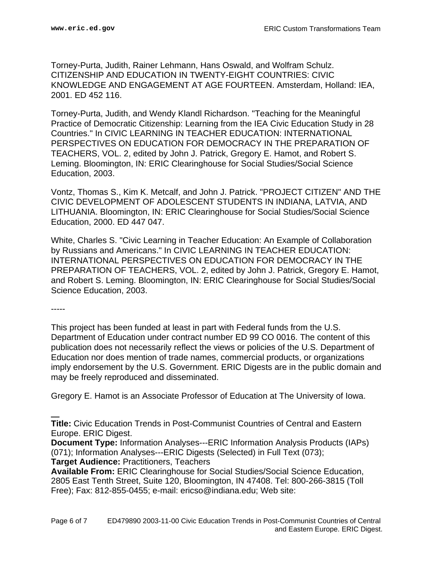Torney-Purta, Judith, Rainer Lehmann, Hans Oswald, and Wolfram Schulz. CITIZENSHIP AND EDUCATION IN TWENTY-EIGHT COUNTRIES: CIVIC KNOWLEDGE AND ENGAGEMENT AT AGE FOURTEEN. Amsterdam, Holland: IEA, 2001. ED 452 116.

Torney-Purta, Judith, and Wendy Klandl Richardson. "Teaching for the Meaningful Practice of Democratic Citizenship: Learning from the IEA Civic Education Study in 28 Countries." In CIVIC LEARNING IN TEACHER EDUCATION: INTERNATIONAL PERSPECTIVES ON EDUCATION FOR DEMOCRACY IN THE PREPARATION OF TEACHERS, VOL. 2, edited by John J. Patrick, Gregory E. Hamot, and Robert S. Leming. Bloomington, IN: ERIC Clearinghouse for Social Studies/Social Science Education, 2003.

Vontz, Thomas S., Kim K. Metcalf, and John J. Patrick. "PROJECT CITIZEN" AND THE CIVIC DEVELOPMENT OF ADOLESCENT STUDENTS IN INDIANA, LATVIA, AND LITHUANIA. Bloomington, IN: ERIC Clearinghouse for Social Studies/Social Science Education, 2000. ED 447 047.

White, Charles S. "Civic Learning in Teacher Education: An Example of Collaboration by Russians and Americans." In CIVIC LEARNING IN TEACHER EDUCATION: INTERNATIONAL PERSPECTIVES ON EDUCATION FOR DEMOCRACY IN THE PREPARATION OF TEACHERS, VOL. 2, edited by John J. Patrick, Gregory E. Hamot, and Robert S. Leming. Bloomington, IN: ERIC Clearinghouse for Social Studies/Social Science Education, 2003.

-----

This project has been funded at least in part with Federal funds from the U.S. Department of Education under contract number ED 99 CO 0016. The content of this publication does not necessarily reflect the views or policies of the U.S. Department of Education nor does mention of trade names, commercial products, or organizations imply endorsement by the U.S. Government. ERIC Digests are in the public domain and may be freely reproduced and disseminated.

Gregory E. Hamot is an Associate Professor of Education at The University of Iowa.

**Document Type:** Information Analyses---ERIC Information Analysis Products (IAPs) (071); Information Analyses---ERIC Digests (Selected) in Full Text (073);

**Target Audience:** Practitioners, Teachers

**Title:** Civic Education Trends in Post-Communist Countries of Central and Eastern Europe. ERIC Digest.

**Available From:** ERIC Clearinghouse for Social Studies/Social Science Education, 2805 East Tenth Street, Suite 120, Bloomington, IN 47408. Tel: 800-266-3815 (Toll Free); Fax: 812-855-0455; e-mail: ericso@indiana.edu; Web site: